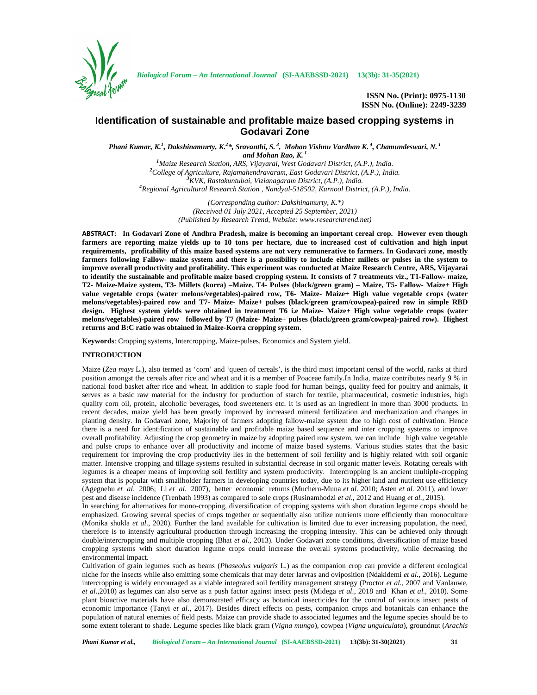

**ISSN No. (Print): 0975-1130 ISSN No. (Online): 2249-3239**

# **Identification of sustainable and profitable maize based cropping systems in Godavari Zone**

*Phani Kumar, K.<sup>1</sup> , Dakshinamurty, K.<sup>2</sup>\*, Sravanthi, S. <sup>3</sup> , Mohan Vishnu Vardhan K. <sup>4</sup> , Chamundeswari, N. <sup>1</sup>*

and Mohan Rao, K.<sup>1</sup><br><sup>1</sup>Maize Research Station, ARS, Vijayarai, West Godavari District, (A.P.), India. <sup>2</sup>College of Agriculture, Rajamahendravaram, East Godavari District, (A.P.), India.<br><sup>3</sup>KVK, Rastakuntubai, Vizianagaram District, (A.P.), India.<br><sup>4</sup>Regional Agricultural Research Station , Nandyal-518502, Kurnool Distric

> *(Corresponding author: Dakshinamurty, K.\*) (Received 01 July 2021, Accepted 25 September, 2021) (Published by Research Trend, Website: <www.researchtrend.net>)*

**ABSTRACT: In Godavari Zone of Andhra Pradesh, maize is becoming an important cereal crop. However even though farmers are reporting maize yields up to 10 tons per hectare, due to increased cost of cultivation and high input requirements, profitability of this maize based systems are not very remunerative to farmers. In Godavari zone, mostly farmers following Fallow- maize system and there is a possibility to include either millets or pulses in the system to improve overall productivity and profitability. This experiment was conducted at Maize Research Centre, ARS, Vijayarai to identify the sustainable and profitable maize based cropping system. It consists of 7 treatments viz., T1-Fallow- maize, T2- Maize-Maize system, T3- Millets (korra) –Maize, T4- Pulses (black/green gram) – Maize, T5- Fallow- Maize+ High value vegetable crops (water melons/vegetables)-paired row, T6- Maize- Maize+ High value vegetable crops (water melons/vegetables)-paired row and T7- Maize- Maize+ pulses (black/green gram/cowpea)-paired row in simple RBD design. Highest system yields were obtained in treatment T6 i.e Maize- Maize+ High value vegetable crops (water melons/vegetables)-paired row followed by T7 (Maize- Maize+ pulses (black/green gram/cowpea)-paired row). Highest returns and B:C ratio was obtained in Maize-Korra cropping system.**

**Keywords**: Cropping systems, Intercropping, Maize-pulses, Economics and System yield.

## **INTRODUCTION**

Maize (*Zea mays* L.), also termed as 'corn' and 'queen of cereals', is the third most important cereal of the world, ranks at third position amongst the cereals after rice and wheat and it is a member of Poaceae family.In India, maize contributes nearly 9 % in national food basket after rice and wheat. In addition to staple food for human beings, quality feed for poultry and animals, it serves as a basic raw material for the industry for production of starch for textile, pharmaceutical, cosmetic industries, high quality corn oil, protein, alcoholic beverages, food sweeteners etc. It is used as an ingredient in more than 3000 products. In recent decades, maize yield has been greatly improved by increased mineral fertilization and mechanization and changes in planting density. In Godavari zone, Majority of farmers adopting fallow-maize system due to high cost of cultivation. Hence there is a need for identification of sustainable and profitable maize based sequence and inter cropping systems to improve overall profitability. Adjusting the crop geometry in maize by adopting paired row system, we can include high value vegetable and pulse crops to enhance over all productivity and income of maize based systems. Various studies states that the basic requirement for improving the crop productivity lies in the betterment of soil fertility and is highly related with soil organic matter. Intensive cropping and tillage systems resulted in substantial decrease in soil organic matter levels. Rotating cereals with legumes is a cheaper means of improving soil fertility and system productivity. Intercropping is an ancient multiple-cropping system that is popular with smallholder farmers in developing countries today, due to its higher land and nutrient use efficiency (Agegnehu *et al*. 2006; Li *et al*. 2007), better economic returns (Mucheru-Muna *et al.* 2010; Asten *et al.* 2011), and lower pest and disease incidence (Trenbath 1993) as compared to sole crops (Rusinamhodzi *et al*., 2012 and Huang *et al.,* 2015).

In searching for alternatives for mono-cropping, diversification of cropping systems with short duration legume crops should be emphasized. Growing several species of crops together or sequentially also utilize nutrients more efficiently than monoculture (Monika shukla *et al*., 2020). Further the land available for cultivation is limited due to ever increasing population, the need, therefore is to intensify agricultural production through increasing the cropping intensity. This can be achieved only through double/intercropping and multiple cropping (Bhat *et al*., 2013). Under Godavari zone conditions, diversification of maize based cropping systems with short duration legume crops could increase the overall systems productivity, while decreasing the environmental impact.

Cultivation of grain legumes such as beans (*Phaseolus vulgaris* L.) as the companion crop can provide a different ecological niche for the insects while also emitting some chemicals that may deter larvras and oviposition (Ndakidemi *et al.,* 2016). Legume intercropping is widely encouraged as a viable integrated soil fertility management strategy (Proctor *et al.,* 2007 and Vanlauwe, *et al.,*2010) as legumes can also serve as a push factor against insect pests (Midega *et al*., 2018 and Khan *et al.,* 2010). Some plant bioactive materials have also demonstrated efficacy as botanical insecticides for the control of various insect pests of economic importance (Tanyi *et al*., 2017). Besides direct effects on pests, companion crops and botanicals can enhance the population of natural enemies of field pests. Maize can provide shade to associated legumes and the legume species should be to some extent tolerant to shade. Legume species like black gram (*Vigna mungo*), cowpea (*Vigna unguiculata*), groundnut (*Arachis*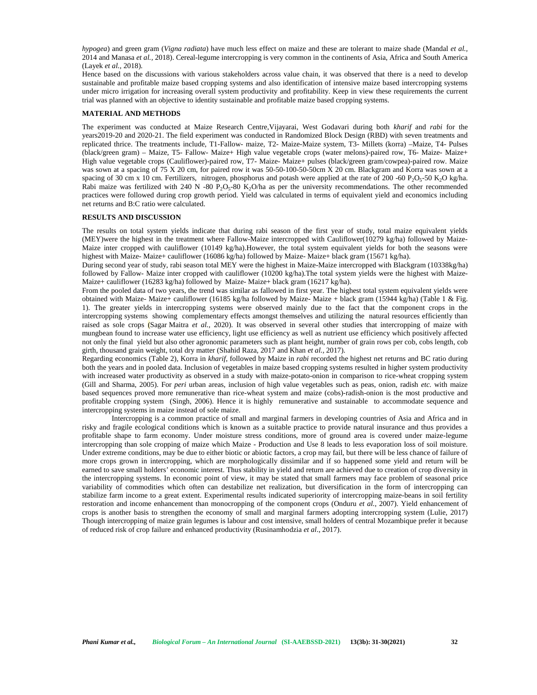*hypogea*) and green gram (*Vigna radiata*) have much less effect on maize and these are tolerant to maize shade (Mandal *et al.,* 2014 and Manasa *et al.,* 2018). Cereal-legume intercropping is very common in the continents of Asia, Africa and South America (Layek *et al.,* 2018).

Hence based on the discussions with various stakeholders across value chain, it was observed that there is a need to develop sustainable and profitable maize based cropping systems and also identification of intensive maize based intercropping systems under micro irrigation for increasing overall system productivity and profitability. Keep in view these requirements the current trial was planned with an objective to identity sustainable and profitable maize based cropping systems.

#### **MATERIAL AND METHODS**

The experiment was conducted at Maize Research Centre,Vijayarai, West Godavari during both *kharif* and *rabi* for the years2019-20 and 2020-21. The field experiment was conducted in Randomized Block Design (RBD) with seven treatments and replicated thrice. The treatments include, T1-Fallow- maize, T2- Maize-Maize system, T3- Millets (korra) –Maize, T4- Pulses (black/green gram) – Maize, T5- Fallow- Maize+ High value vegetable crops (water melons)-paired row, T6- Maize- Maize+ High value vegetable crops (Cauliflower)-paired row, T7- Maize- Maize+ pulses (black/green gram/cowpea)-paired row. Maize was sown at a spacing of 75 X 20 cm, for paired row it was 50-50-100-50-50cm X 20 cm. Blackgram and Korra was sown at a spacing of 30 cm x 10 cm. Fertilizers, nitrogen, phosphorus and potash were applied at the rate of 200 -60  $P_2O_5$ -50 K<sub>2</sub>O kg/ha. Rabi maize was fertilized with 240 N -80  $P_2O_5$ -80 K<sub>2</sub>O/ha as per the university recommendations. The other recommended practices were followed during crop growth period. Yield was calculated in terms of equivalent yield and economics including net returns and B:C ratio were calculated.

## **RESULTS AND DISCUSSION**

The results on total system yields indicate that during rabi season of the first year of study, total maize equivalent yields (MEY)were the highest in the treatment where Fallow-Maize intercropped with Cauliflower(10279 kg/ha) followed by Maize- Maize inter cropped with cauliflower (10149 kg/ha).However, the total system equivalent yields for both the seasons were highest with Maize- Maize+ cauliflower (16086 kg/ha) followed by Maize- Maize+ black gram (15671 kg/ha).

During second year of study, rabi season total MEY were the highest in Maize-Maize intercropped with Blackgram (10338kg/ha) followed by Fallow- Maize inter cropped with cauliflower (10200 kg/ha).The total system yields were the highest with Maize- Maize+ cauliflower (16283 kg/ha) followed by Maize- Maize+ black gram (16217 kg/ha).

From the pooled data of two years, the trend was similar as fallowed in first year. The highest total system equivalent yields were obtained with Maize- Maize+ cauliflower (16185 kg/ha followed by Maize- Maize + black gram (15944 kg/ha) (Table 1 & Fig. 1). The greater yields in intercropping systems were observed mainly due to the fact that the component crops in the intercropping systems showing complementary effects amongst themselves and utilizing the natural resources efficiently than raised as sole crops (Sagar Maitra *et al.,* 2020). It was observed in several other studies that intercropping of maize with mungbean found to increase water use efficiency, light use efficiency as well as nutrient use efficiency which positively affected not only the final yield but also other agronomic parameters such as plant height, number of grain rows per cob, cobs length, cob girth, thousand grain weight, total dry matter (Shahid Raza, 2017 and Khan *et al.,* 2017).

Regarding economics (Table 2), Korra in *kharif*, followed by Maize in *rabi* recorded the highest net returns and BC ratio during both the years and in pooled data. Inclusion of vegetables in maize based cropping systems resulted in higher system productivity with increased water productivity as observed in a study with maize-potato-onion in comparison to rice-wheat cropping system (Gill and Sharma, 2005). For *peri* urban areas, inclusion of high value vegetables such as peas, onion, radish *etc.* with maize based sequences proved more remunerative than rice-wheat system and maize (cobs)-radish-onion is the most productive and profitable cropping system (Singh, 2006). Hence it is highly remunerative and sustainable to accommodate sequence and intercropping systems in maize instead of sole maize.

Intercropping is a common practice of small and marginal farmers in developing countries of Asia and Africa and in risky and fragile ecological conditions which is known as a suitable practice to provide natural insurance and thus provides a profitable shape to farm economy. Under moisture stress conditions, more of ground area is covered under maize-legume intercropping than sole cropping of maize which Maize - Production and Use 8 leads to less evaporation loss of soil moisture. Under extreme conditions, may be due to either biotic or abiotic factors, a crop may fail, but there will be less chance of failure of more crops grown in intercropping, which are morphologically dissimilar and if so happened some yield and return will be earned to save small holders' economic interest. Thus stability in yield and return are achieved due to creation of crop diversity in the intercropping systems. In economic point of view, it may be stated that small farmers may face problem of seasonal price variability of commodities which often can destabilize net realization, but diversification in the form of intercropping can stabilize farm income to a great extent. Experimental results indicated superiority of intercropping maize-beans in soil fertility restoration and income enhancement than monocropping of the component crops (Onduru *et al.*, 2007). Yield enhancement of crops is another basis to strengthen the economy of small and marginal farmers adopting intercropping system (Lulie, 2017) Though intercropping of maize grain legumes is labour and cost intensive, small holders of central Mozambique prefer it because of reduced risk of crop failure and enhanced productivity (Rusinamhodzia *et al*., 2017).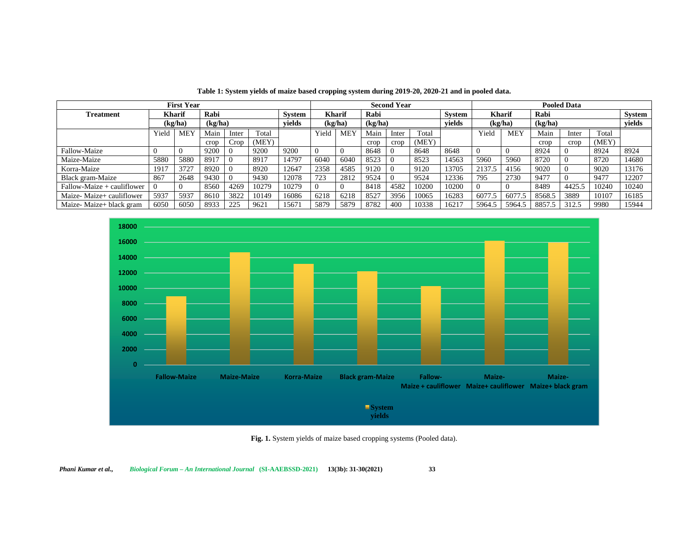|                              | <b>Second Year</b> |            |         |       |       |               | <b>Pooled Data</b> |               |         |       |       |               |               |            |         |        |       |        |
|------------------------------|--------------------|------------|---------|-------|-------|---------------|--------------------|---------------|---------|-------|-------|---------------|---------------|------------|---------|--------|-------|--------|
| <b>Treatment</b>             | <b>Kharif</b>      |            | Rabi    |       |       | <b>System</b> |                    | <b>Kharif</b> | Rabi    |       |       | <b>System</b> | <b>Kharif</b> |            | Rabi    |        |       | System |
|                              | (kg/ha)            |            | (kg/ha) |       |       | vields        | (kg/ha)            |               | (kg/ha) |       |       | vields        | (kg/ha)       |            | (kg/ha) |        |       | vields |
|                              | Yield              | <b>MEY</b> | Main    | Inter | Total |               | Yield              | <b>MEY</b>    | Main    | Inter | Total |               | Yield         | <b>MEY</b> | Main    | Inter  | Total |        |
|                              |                    |            | crop    | Crop  | (MEY) |               |                    |               | crop    | crop  | (MEY) |               |               |            | crop    | crop   | (MEY) |        |
| Fallow-Maize                 |                    |            | 9200    |       | 9200  | 9200          |                    |               | 8648    |       | 8648  | 8648          |               |            | 8924    |        | 8924  | 8924   |
| Maize-Maize                  | 5880               | 5880       | 8917    |       | 8917  | 14797         | 6040               | 6040          | 8523    |       | 8523  | 14563         | 5960          | 5960       | 8720    |        | 8720  | 14680  |
| Korra-Maize                  | 1917               | 3727       | 8920    |       | 8920  | 12647         | 2358               | 4585          | 9120    |       | 9120  | 13705         | 2137.5        | 4156       | 9020    |        | 9020  | 13176  |
| Black gram-Maize             | 867                | 2648       | 9430    |       | 9430  | 12078         | 723                | 2812          | 9524    |       | 9524  | 12336         | 795           | 2730       | 9477    |        | 9477  | 12207  |
| $Fallow-Maize + cauliflower$ |                    |            | 8560    | 4269  | 10279 | 10279         |                    |               | 8418    | 4582  | 10200 | 10200         |               |            | 8489    | 4425.5 | 10240 | 10240  |
| Maize-Maize+ cauliflower     | 5937               | 5937       | 8610    | 3822  | 10149 | 16086         | 6218               | 6218          | 8527    | 3956  | 10065 | 16283         | 6077.5        | 6077.5     | 8568.5  | 3889   | 10107 | 16185  |
| Maize-Maize+ black gram      | 6050               | 6050       | 8933    | 225   | 9621  | 15671         | 5879               | 5879          | 8782    | 400   | 10338 | 16217         | 5964.5        | 5964.5     | 8857.5  | 312.5  | 9980  | 15944  |

**Table 1: System yields of maize based cropping system during 2019-20, 2020-21 and in pooled data.**



**Fig. 1.** System yields of maize based cropping systems (Pooled data).

*Phani Kumar et al., Biological Forum – An International Journal* **(SI-AAEBSSD-2021) 13(3b): 31-30(2021) 33**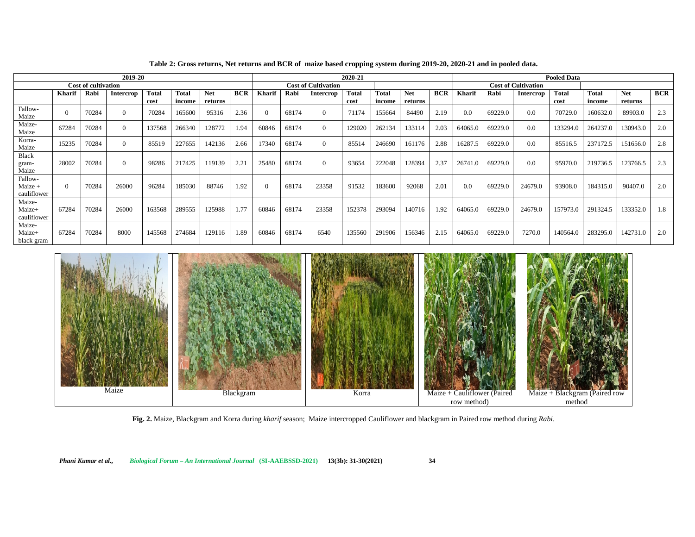| 2019-20                           |        |       |                  |                      |                        |                            |            | 2020-21       |       |                  |                      |                        |                       |            |                            | <b>Pooled Data</b> |                  |                      |                        |                       |            |  |  |
|-----------------------------------|--------|-------|------------------|----------------------|------------------------|----------------------------|------------|---------------|-------|------------------|----------------------|------------------------|-----------------------|------------|----------------------------|--------------------|------------------|----------------------|------------------------|-----------------------|------------|--|--|
| <b>Cost of cultivation</b>        |        |       |                  |                      |                        | <b>Cost of Cultivation</b> |            |               |       |                  |                      |                        |                       |            | <b>Cost of Cultivation</b> |                    |                  |                      |                        |                       |            |  |  |
|                                   | Kharif | Rabi  | <b>Intercrop</b> | <b>Total</b><br>cost | <b>Total</b><br>income | <b>Net</b><br>returns      | <b>BCR</b> | <b>Kharif</b> | Rabi  | <b>Intercrop</b> | <b>Total</b><br>cost | <b>Total</b><br>income | <b>Net</b><br>returns | <b>BCR</b> | Kharif                     | Rabi               | <b>Intercrop</b> | <b>Total</b><br>cost | <b>Total</b><br>income | <b>Net</b><br>returns | <b>BCR</b> |  |  |
| Fallow-<br>Maize                  |        | 70284 |                  | 70284                | 165600                 | 95316                      | 2.36       | $\Omega$      | 68174 |                  | 71174                | 155664                 | 84490                 | 2.19       | 0.0                        | 69229.0            | 0.0              | 70729.0              | 160632.0               | 89903.0               | 2.3        |  |  |
| Maize-<br>Maize                   | 67284  | 70284 |                  | 137568               | 266340                 | 128772                     | 1.94       | 60846         | 68174 | $\Omega$         | 129020               | 262134                 | 133114                | 2.03       | 64065.0                    | 69229.0            | 0.0              | 133294.0             | 264237.0               | 130943.0              | 2.0        |  |  |
| Korra-<br>Maize                   | 15235  | 70284 |                  | 85519                | 227655                 | 142136                     | 2.66       | 17340         | 68174 |                  | 85514                | 246690                 | 161176                | 2.88       | 16287.5                    | 69229.0            | 0.0              | 85516.5              | 237172.5               | 151656.0              | 2.8        |  |  |
| <b>Black</b><br>gram-<br>Maize    | 28002  | 70284 |                  | 98286                | 217425                 | 119139                     | 2.21       | 25480         | 68174 |                  | 93654                | 222048                 | 128394                | 2.37       | 26741.0                    | 69229.0            | 0.0              | 95970.0              | 219736.5               | 123766.5              | 2.3        |  |  |
| Fallow-<br>Maize +<br>cauliflower |        | 70284 | 26000            | 96284                | 185030                 | 88746                      | 1.92       | $\Omega$      | 68174 | 23358            | 91532                | 183600                 | 92068                 | 2.01       | 0.0                        | 69229.0            | 24679.0          | 93908.0              | 184315.0               | 90407.0               | 2.0        |  |  |
| Maize-<br>Maize+<br>cauliflower   | 67284  | 70284 | 26000            | 163568               | 289555                 | 125988                     | 1.77       | 60846         | 68174 | 23358            | 152378               | 293094                 | 140716                | 1.92       | 64065.0                    | 69229.0            | 24679.0          | 157973.0             | 291324.5               | 133352.0              | 1.8        |  |  |
| Maize-<br>Maize+<br>black gram    | 67284  | 70284 | 8000             | 145568               | 274684                 | 129116                     | 1.89       | 60846         | 68174 | 6540             | 135560               | 291906                 | 156346                | 2.15       | 64065.0                    | 69229.0            | 7270.0           | 140564.0             | 283295.0               | 142731.0              | 2.0        |  |  |

**Table 2: Gross returns, Net returns and BCR of maize based cropping system during 2019-20, 2020-21 and in pooled data.**



**Fig. 2.** Maize, Blackgram and Korra during *kharif* season; Maize intercropped Cauliflower and blackgram in Paired row method during *Rabi*.